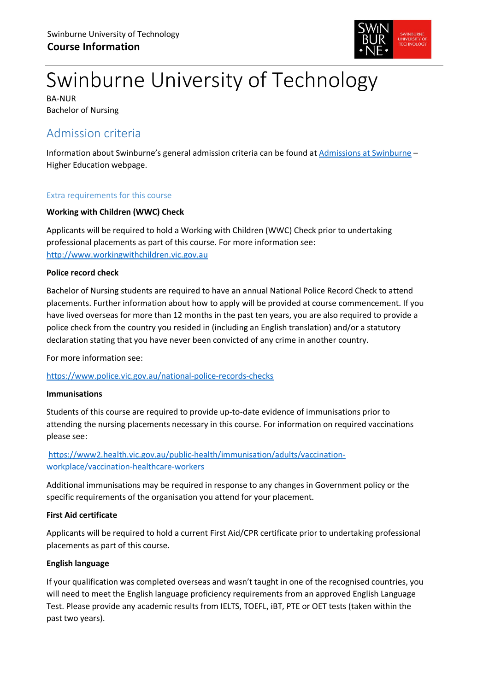

# Swinburne University of Technology

BA-NUR Bachelor of Nursing

## Admission criteria

Information about Swinburne's general admission criteria can be found at [Admissions at Swinburne](https://www.swinburne.edu.au/study/degrees/apply/admissions/) – Higher Education webpage.

#### Extra requirements for this course

#### **Working with Children (WWC) Check**

Applicants will be required to hold a Working with Children (WWC) Check prior to undertaking professional placements as part of this course. For more information see: [http://www.workingwithchildren.vic.gov.au](http://www.workingwithchildren.vic.gov.au/)

#### **Police record check**

Bachelor of Nursing students are required to have an annual National Police Record Check to attend placements. Further information about how to apply will be provided at course commencement. If you have lived overseas for more than 12 months in the past ten years, you are also required to provide a police check from the country you resided in (including an English translation) and/or a statutory declaration stating that you have never been convicted of any crime in another country.

For more information see:

<https://www.police.vic.gov.au/national-police-records-checks>

#### **Immunisations**

Students of this course are required to provide up-to-date evidence of immunisations prior to attending the nursing placements necessary in this course. For information on required vaccinations please see:

#### [https://www2.health.vic.gov.au/public-health/immunisation/adults/vaccination](https://www2.health.vic.gov.au/public-health/immunisation/adults/vaccination-workplace/vaccination-healthcare-workers)[workplace/vaccination-healthcare-workers](https://www2.health.vic.gov.au/public-health/immunisation/adults/vaccination-workplace/vaccination-healthcare-workers)

Additional immunisations may be required in response to any changes in Government policy or the specific requirements of the organisation you attend for your placement.

#### **First Aid certificate**

Applicants will be required to hold a current First Aid/CPR certificate prior to undertaking professional placements as part of this course.

#### **English language**

If your qualification was completed overseas and wasn't taught in one of the recognised countries, you will need to meet the English language proficiency requirements from an approved English Language Test. Please provide any academic results from IELTS, TOEFL, iBT, PTE or OET tests (taken within the past two years).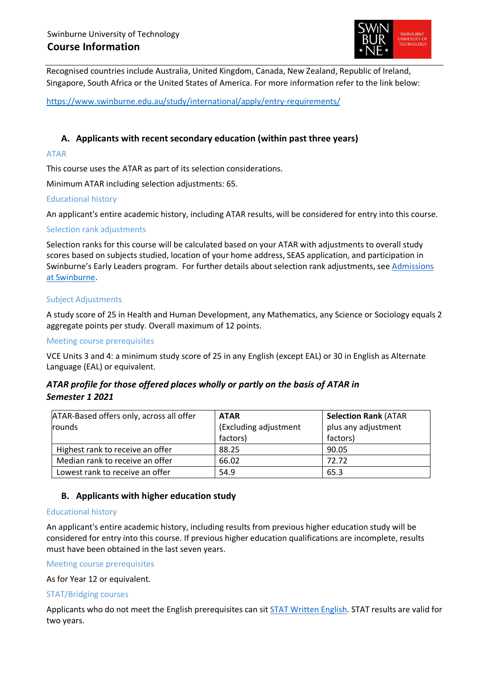

Recognised countries include Australia, United Kingdom, Canada, New Zealand, Republic of Ireland, Singapore, South Africa or the United States of America. For more information refer to the link below:

<https://www.swinburne.edu.au/study/international/apply/entry-requirements/>

#### **A. Applicants with recent secondary education (within past three years)**

#### ATAR

This course uses the ATAR as part of its selection considerations.

Minimum ATAR including selection adjustments: 65.

#### Educational history

An applicant's entire academic history, including ATAR results, will be considered for entry into this course.

#### Selection rank adjustments

Selection ranks for this course will be calculated based on your ATAR with adjustments to overall study scores based on subjects studied, location of your home address, SEAS application, and participation in Swinburne's Early Leaders program. For further details about selection rank adjustments, see Admissions [at Swinburne.](https://www.swinburne.edu.au/study/degrees/apply/admissions/)

#### Subject Adjustments

A study score of 25 in Health and Human Development, any Mathematics, any Science or Sociology equals 2 aggregate points per study. Overall maximum of 12 points.

#### Meeting course prerequisites

VCE Units 3 and 4: a minimum study score of 25 in any English (except EAL) or 30 in English as Alternate Language (EAL) or equivalent.

#### *ATAR profile for those offered places wholly or partly on the basis of ATAR in Semester 1 2021*

| ATAR-Based offers only, across all offer | <b>ATAR</b>           | <b>Selection Rank (ATAR</b> |
|------------------------------------------|-----------------------|-----------------------------|
| <b>rounds</b>                            | (Excluding adjustment | plus any adjustment         |
|                                          | factors)              | factors)                    |
| Highest rank to receive an offer         | 88.25                 | 90.05                       |
| Median rank to receive an offer          | 66.02                 | 72.72                       |
| Lowest rank to receive an offer          | 54.9                  | 65.3                        |

#### **B. Applicants with higher education study**

#### Educational history

An applicant's entire academic history, including results from previous higher education study will be considered for entry into this course. If previous higher education qualifications are incomplete, results must have been obtained in the last seven years.

Meeting course prerequisites

As for Year 12 or equivalent.

#### STAT/Bridging courses

Applicants who do not meet the English prerequisites can sit [STAT Written English.](https://www.swinburne.edu.au/study/degrees/apply/admissions-test/) STAT results are valid for two years.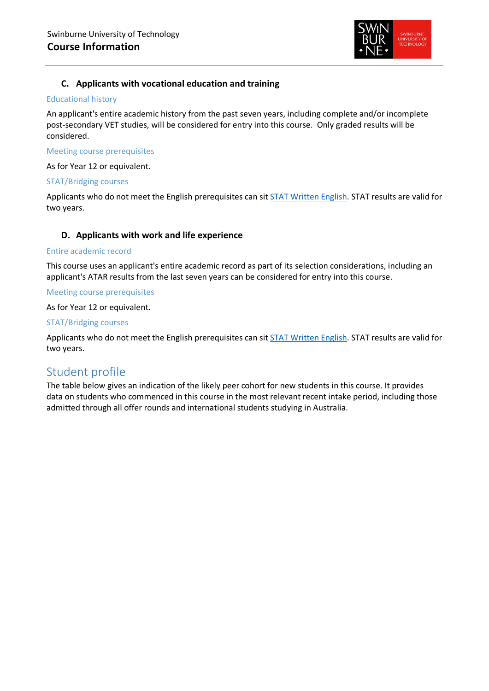

#### **C. Applicants with vocational education and training**

#### Educational history

An applicant's entire academic history from the past seven years, including complete and/or incomplete post-secondary VET studies, will be considered for entry into this course. Only graded results will be considered.

#### Meeting course prerequisites

As for Year 12 or equivalent.

#### STAT/Bridging courses

Applicants who do not meet the English prerequisites can sit [STAT Written English.](https://www.swinburne.edu.au/study/degrees/apply/admissions-test/) STAT results are valid for two years.

#### **D. Applicants with work and life experience**

#### Entire academic record

This course uses an applicant's entire academic record as part of its selection considerations, including an applicant's ATAR results from the last seven years can be considered for entry into this course.

#### Meeting course prerequisites

As for Year 12 or equivalent.

#### STAT/Bridging courses

Applicants who do not meet the English prerequisites can sit [STAT Written English.](https://www.swinburne.edu.au/study/degrees/apply/admissions-test/) STAT results are valid for two years.

### Student profile

The table below gives an indication of the likely peer cohort for new students in this course. It provides data on students who commenced in this course in the most relevant recent intake period, including those admitted through all offer rounds and international students studying in Australia.